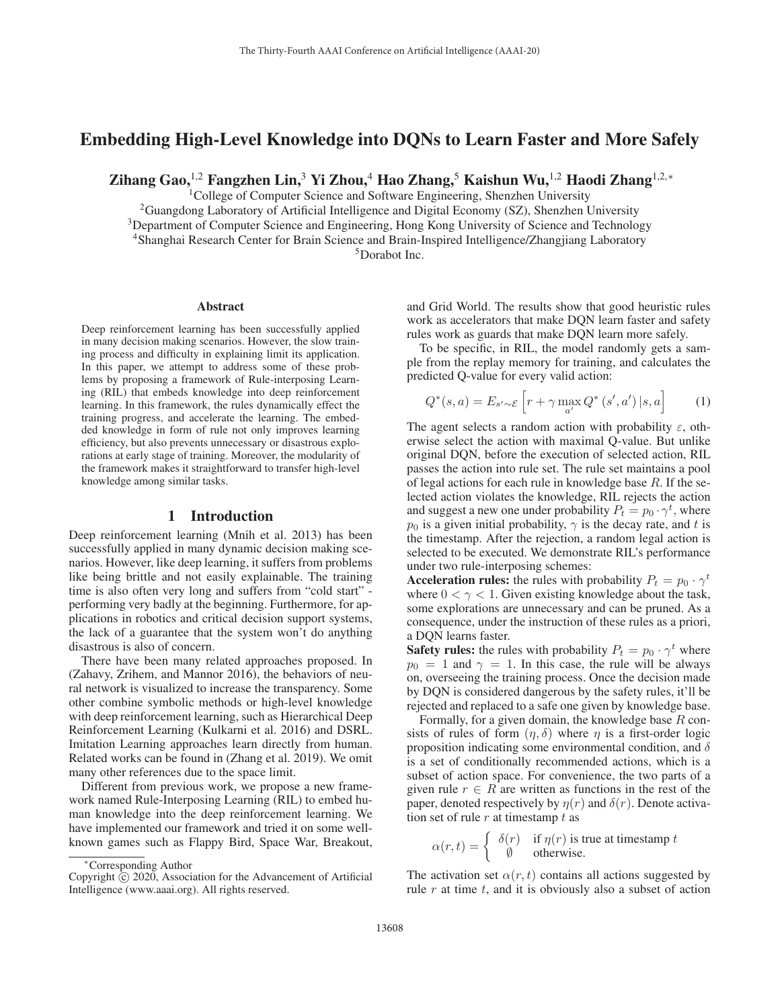# Embedding High-Level Knowledge into DQNs to Learn Faster and More Safely

Zihang Gao,<sup>1,2</sup> Fangzhen Lin,<sup>3</sup> Yi Zhou,<sup>4</sup> Hao Zhang,<sup>5</sup> Kaishun Wu,<sup>1,2</sup> Haodi Zhang<sup>1,2,∗</sup>

<sup>1</sup>College of Computer Science and Software Engineering, Shenzhen University

<sup>2</sup>Guangdong Laboratory of Artificial Intelligence and Digital Economy (SZ), Shenzhen University

<sup>3</sup>Department of Computer Science and Engineering, Hong Kong University of Science and Technology

4Shanghai Research Center for Brain Science and Brain-Inspired Intelligence/Zhangjiang Laboratory

5Dorabot Inc.

### **Abstract**

Deep reinforcement learning has been successfully applied in many decision making scenarios. However, the slow training process and difficulty in explaining limit its application. In this paper, we attempt to address some of these problems by proposing a framework of Rule-interposing Learning (RIL) that embeds knowledge into deep reinforcement learning. In this framework, the rules dynamically effect the training progress, and accelerate the learning. The embedded knowledge in form of rule not only improves learning efficiency, but also prevents unnecessary or disastrous explorations at early stage of training. Moreover, the modularity of the framework makes it straightforward to transfer high-level knowledge among similar tasks.

## 1 Introduction

Deep reinforcement learning (Mnih et al. 2013) has been successfully applied in many dynamic decision making scenarios. However, like deep learning, it suffers from problems like being brittle and not easily explainable. The training time is also often very long and suffers from "cold start" performing very badly at the beginning. Furthermore, for applications in robotics and critical decision support systems, the lack of a guarantee that the system won't do anything disastrous is also of concern.

There have been many related approaches proposed. In (Zahavy, Zrihem, and Mannor 2016), the behaviors of neural network is visualized to increase the transparency. Some other combine symbolic methods or high-level knowledge with deep reinforcement learning, such as Hierarchical Deep Reinforcement Learning (Kulkarni et al. 2016) and DSRL. Imitation Learning approaches learn directly from human. Related works can be found in (Zhang et al. 2019). We omit many other references due to the space limit.

Different from previous work, we propose a new framework named Rule-Interposing Learning (RIL) to embed human knowledge into the deep reinforcement learning. We have implemented our framework and tried it on some wellknown games such as Flappy Bird, Space War, Breakout,

and Grid World. The results show that good heuristic rules work as accelerators that make DQN learn faster and safety rules work as guards that make DQN learn more safely.

To be specific, in RIL, the model randomly gets a sample from the replay memory for training, and calculates the predicted Q-value for every valid action:

$$
Q^*(s, a) = E_{s' \sim \mathcal{E}} \left[ r + \gamma \max_{a'} Q^*(s', a') | s, a \right]
$$
 (1)

The agent selects a random action with probability  $\varepsilon$ , otherwise select the action with maximal Q-value. But unlike original DQN, before the execution of selected action, RIL passes the action into rule set. The rule set maintains a pool of legal actions for each rule in knowledge base  $R$ . If the selected action violates the knowledge, RIL rejects the action and suggest a new one under probability  $P_t = p_0 \cdot \gamma^t$ , where  $p_0$  is a given initial probability,  $\gamma$  is the decay rate, and t is the timestamp. After the rejection, a random legal action is selected to be executed. We demonstrate RIL's performance under two rule-interposing schemes:

**Acceleration rules:** the rules with probability  $P_t = p_0 \cdot \gamma^t$ where  $0 < \gamma < 1$ . Given existing knowledge about the task, some explorations are unnecessary and can be pruned. As a consequence, under the instruction of these rules as a priori, a DQN learns faster.

**Safety rules:** the rules with probability  $P_t = p_0 \cdot \gamma^t$  where  $p_0 = 1$  and  $\gamma = 1$ . In this case, the rule will be always on, overseeing the training process. Once the decision made by DQN is considered dangerous by the safety rules, it'll be rejected and replaced to a safe one given by knowledge base.

Formally, for a given domain, the knowledge base  $R$  consists of rules of form  $(\eta, \delta)$  where  $\eta$  is a first-order logic proposition indicating some environmental condition, and  $\delta$ is a set of conditionally recommended actions, which is a subset of action space. For convenience, the two parts of a given rule  $r \in R$  are written as functions in the rest of the paper, denoted respectively by  $\eta(r)$  and  $\delta(r)$ . Denote activation set of rule  $r$  at timestamp  $t$  as

$$
\alpha(r,t) = \begin{cases} \delta(r) & \text{if } \eta(r) \text{ is true at timestamp } t \\ \emptyset & \text{otherwise.} \end{cases}
$$

The activation set  $\alpha(r, t)$  contains all actions suggested by rule  $r$  at time  $t$ , and it is obviously also a subset of action

<sup>∗</sup>Corresponding Author

Copyright  $\odot$  2020, Association for the Advancement of Artificial Intelligence (www.aaai.org). All rights reserved.